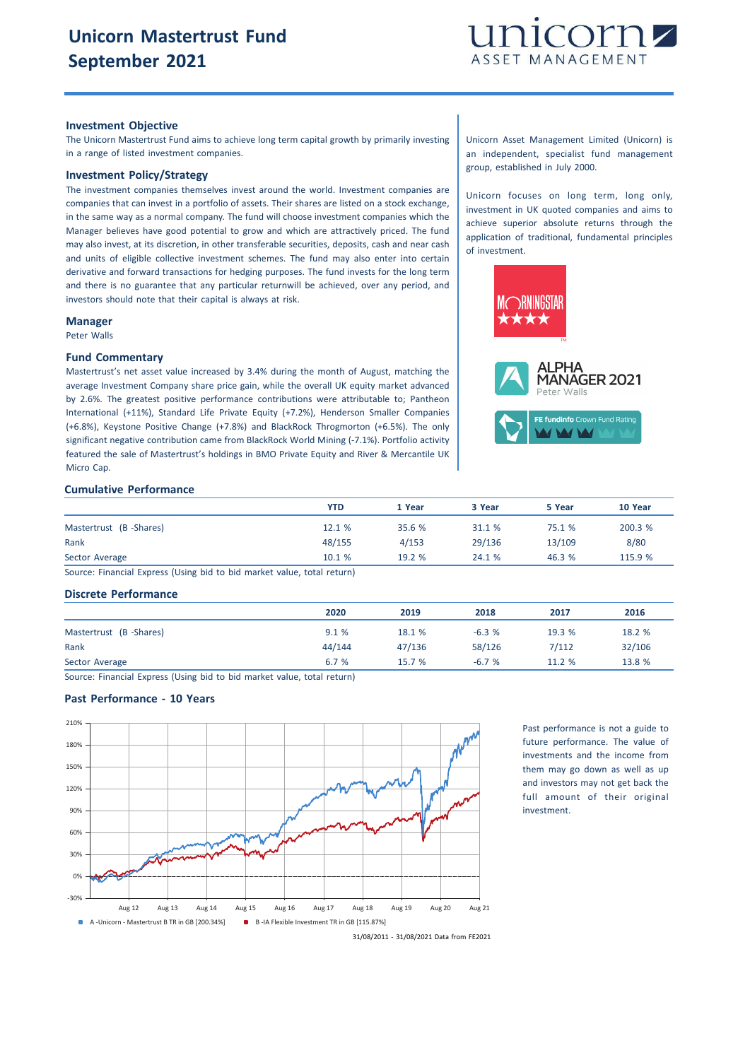

#### **Investment Objective**

The Unicorn Mastertrust Fund aims to achieve long term capital growth by primarily investing in a range of listed investment companies.

# **Investment Policy/Strategy**

The investment companies themselves invest around the world. Investment companies are companies that can invest in a portfolio of assets. Their shares are listed on a stock exchange, in the same way as a normal company. The fund will choose investment companies which the Manager believes have good potential to grow and which are attractively priced. The fund may also invest, at its discretion, in other transferable securities, deposits, cash and near cash and units of eligible collective investment schemes. The fund may also enter into certain derivative and forward transactions for hedging purposes. The fund invests for the long term and there is no guarantee that any particular returnwill be achieved, over any period, and investors should note that their capital is always at risk.

#### **Manager**

Peter Walls

### **Fund Commentary**

Mastertrust's net asset value increased by 3.4% during the month of August, matching the average Investment Company share price gain, while the overall UK equity market advanced by 2.6%. The greatest positive performance contributions were attributable to; Pantheon International (+11%), Standard Life Private Equity (+7.2%), Henderson Smaller Companies (+6.8%), Keystone Positive Change (+7.8%) and BlackRock Throgmorton (+6.5%). The only significant negative contribution came from BlackRock World Mining (-7.1%). Portfolio activity featured the sale of Mastertrust's holdings in BMO Private Equity and River & Mercantile UK Micro Cap.

## **Cumulative Performance**

|                        | <b>YTD</b> | 1 Year | 3 Year | 5 Year | 10 Year |
|------------------------|------------|--------|--------|--------|---------|
| Mastertrust (B-Shares) | 12.1 %     | 35.6 % | 31.1 % | 75.1 % | 200.3 % |
| Rank                   | 48/155     | 4/153  | 29/136 | 13/109 | 8/80    |
| Sector Average         | 10.1%      | 19.2%  | 24.1 % | 46.3%  | 115.9 % |

Source: Financial Express (Using bid to bid market value, total return)

## **Discrete Performance**

|                        | 2020   | 2019   | 2018    | 2017   | 2016   |
|------------------------|--------|--------|---------|--------|--------|
| Mastertrust (B-Shares) | 9.1%   | 18.1 % | $-6.3%$ | 19.3 % | 18.2 % |
| Rank                   | 44/144 | 47/136 | 58/126  | 7/112  | 32/106 |
| Sector Average         | 6.7%   | 15.7%  | $-6.7%$ | 11.2%  | 13.8 % |

Source: Financial Express (Using bid to bid market value, total return)

# **Past Performance - 10 Years**



Past performance is not a guide to future performance. The value of investments and the income from them may go down as well as up and investors may not get back the full amount of their original investment.

31/08/2011 - 31/08/2021 Data from FE2021

Unicorn Asset Management Limited (Unicorn) is an independent, specialist fund management group, established in July 2000.

Unicorn focuses on long term, long only, investment in UK quoted companies and aims to achieve superior absolute returns through the application of traditional, fundamental principles of investment.